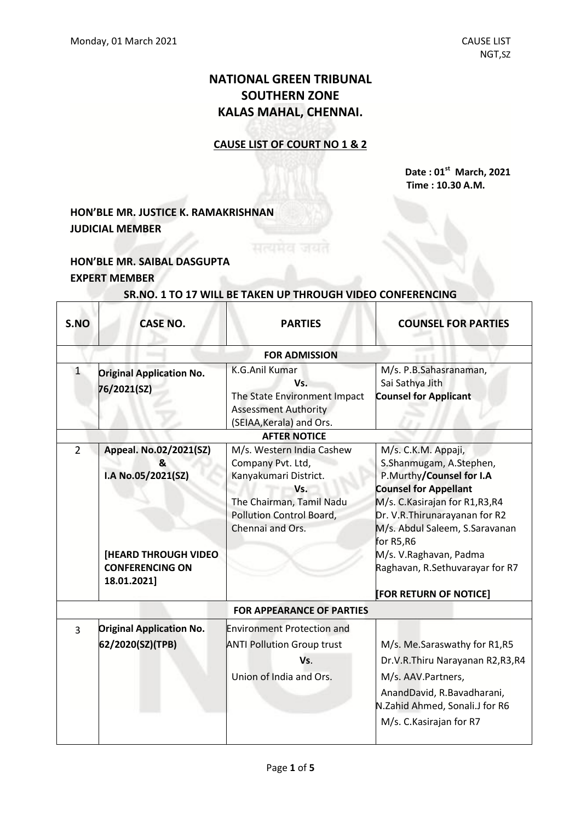## **NATIONAL GREEN TRIBUNAL SOUTHERN ZONE KALAS MAHAL, CHENNAI.**

#### **CAUSE LIST OF COURT NO 1 & 2**

**Date : 01 st March, 2021 Time : 10.30 A.M.**

### **HON'BLE MR. JUSTICE K. RAMAKRISHNAN JUDICIAL MEMBER**

#### **HON'BLE MR. SAIBAL DASGUPTA EXPERT MEMBER**

 $\overline{\Gamma}$ 

# **SR.NO. 1 TO 17 WILL BE TAKEN UP THROUGH VIDEO CONFERENCING**

| S.NO           | <b>CASE NO.</b>                                                                                                            | <b>PARTIES</b>                                                                                                                                             | <b>COUNSEL FOR PARTIES</b>                                                                                                                                                                                                                                                                                             |  |
|----------------|----------------------------------------------------------------------------------------------------------------------------|------------------------------------------------------------------------------------------------------------------------------------------------------------|------------------------------------------------------------------------------------------------------------------------------------------------------------------------------------------------------------------------------------------------------------------------------------------------------------------------|--|
|                | <b>FOR ADMISSION</b>                                                                                                       |                                                                                                                                                            |                                                                                                                                                                                                                                                                                                                        |  |
| $\mathbf{1}$   | <b>Original Application No.</b><br>76/2021(SZ)                                                                             | <b>K.G.Anil Kumar</b><br>Vs.<br>The State Environment Impact<br><b>Assessment Authority</b><br>(SEIAA, Kerala) and Ors.                                    | M/s. P.B.Sahasranaman,<br>Sai Sathya Jith<br><b>Counsel for Applicant</b>                                                                                                                                                                                                                                              |  |
|                |                                                                                                                            | <b>AFTER NOTICE</b>                                                                                                                                        |                                                                                                                                                                                                                                                                                                                        |  |
| $\overline{2}$ | Appeal. No.02/2021(SZ)<br>&<br>I.A No.05/2021(SZ)<br><b>[HEARD THROUGH VIDEO]</b><br><b>CONFERENCING ON</b><br>18.01.2021] | M/s. Western India Cashew<br>Company Pvt. Ltd,<br>Kanyakumari District.<br>Vs.<br>The Chairman, Tamil Nadu<br>Pollution Control Board,<br>Chennai and Ors. | M/s. C.K.M. Appaji,<br>S.Shanmugam, A.Stephen,<br>P.Murthy/Counsel for I.A<br><b>Counsel for Appellant</b><br>M/s. C. Kasirajan for R1, R3, R4<br>Dr. V.R. Thirunarayanan for R2<br>M/s. Abdul Saleem, S.Saravanan<br>for R5,R6<br>M/s. V.Raghavan, Padma<br>Raghavan, R.Sethuvarayar for R7<br>[FOR RETURN OF NOTICE] |  |
|                |                                                                                                                            | <b>FOR APPEARANCE OF PARTIES</b>                                                                                                                           |                                                                                                                                                                                                                                                                                                                        |  |
| $\overline{3}$ | <b>Original Application No.</b><br>62/2020(SZ)(TPB)                                                                        | <b>Environment Protection and</b><br><b>ANTI Pollution Group trust</b><br>Vs.<br>Union of India and Ors.                                                   | M/s. Me.Saraswathy for R1,R5<br>Dr.V.R.Thiru Narayanan R2,R3,R4<br>M/s. AAV.Partners,<br>AnandDavid, R.Bavadharani,<br>N.Zahid Ahmed, Sonali.J for R6<br>M/s. C. Kasirajan for R7                                                                                                                                      |  |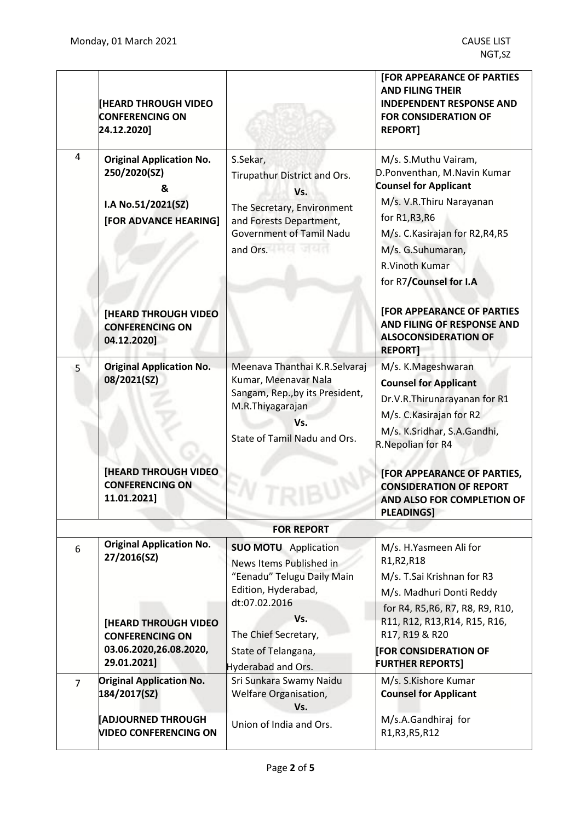|                | <b>[HEARD THROUGH VIDEO</b><br><b>CONFERENCING ON</b><br>24.12.2020]                                |                                                                                                                                                         | <b>[FOR APPEARANCE OF PARTIES</b><br><b>AND FILING THEIR</b><br><b>INDEPENDENT RESPONSE AND</b><br><b>FOR CONSIDERATION OF</b><br><b>REPORT]</b>                                                                                              |
|----------------|-----------------------------------------------------------------------------------------------------|---------------------------------------------------------------------------------------------------------------------------------------------------------|-----------------------------------------------------------------------------------------------------------------------------------------------------------------------------------------------------------------------------------------------|
| 4              | <b>Original Application No.</b><br>250/2020(SZ)<br>&<br>I.A No.51/2021(SZ)<br>[FOR ADVANCE HEARING] | S.Sekar,<br>Tirupathur District and Ors.<br>Vs.<br>The Secretary, Environment<br>and Forests Department,<br><b>Government of Tamil Nadu</b><br>and Ors. | M/s. S.Muthu Vairam,<br>D.Ponventhan, M.Navin Kumar<br><b>Counsel for Applicant</b><br>M/s. V.R.Thiru Narayanan<br>for R1, R3, R6<br>M/s. C. Kasirajan for R2, R4, R5<br>M/s. G.Suhumaran,<br><b>R.Vinoth Kumar</b><br>for R7/Counsel for I.A |
|                | <b>[HEARD THROUGH VIDEO</b><br><b>CONFERENCING ON</b><br>04.12.2020]                                |                                                                                                                                                         | <b>[FOR APPEARANCE OF PARTIES</b><br>AND FILING OF RESPONSE AND<br><b>ALSOCONSIDERATION OF</b><br><b>REPORT</b>                                                                                                                               |
| 5              | <b>Original Application No.</b><br>08/2021(SZ)                                                      | Meenava Thanthai K.R.Selvaraj<br>Kumar, Meenavar Nala<br>Sangam, Rep., by its President,<br>M.R.Thiyagarajan<br>Vs.<br>State of Tamil Nadu and Ors.     | M/s. K.Mageshwaran<br><b>Counsel for Applicant</b><br>Dr.V.R.Thirunarayanan for R1<br>M/s. C. Kasirajan for R2<br>M/s. K.Sridhar, S.A.Gandhi,<br>R.Nepolian for R4                                                                            |
|                | <b>[HEARD THROUGH VIDEO</b><br><b>CONFERENCING ON</b><br>11.01.2021]                                |                                                                                                                                                         | [FOR APPEARANCE OF PARTIES,<br><b>CONSIDERATION OF REPORT</b><br>AND ALSO FOR COMPLETION OF<br><b>PLEADINGS]</b>                                                                                                                              |
|                |                                                                                                     | <b>FOR REPORT</b>                                                                                                                                       |                                                                                                                                                                                                                                               |
| 6              | <b>Original Application No.</b><br>27/2016(SZ)                                                      | <b>SUO MOTU</b> Application<br>News Items Published in<br>"Eenadu" Telugu Daily Main<br>Edition, Hyderabad,<br>dt:07.02.2016                            | M/s. H.Yasmeen Ali for<br>R1, R2, R18<br>M/s. T.Sai Krishnan for R3<br>M/s. Madhuri Donti Reddy<br>for R4, R5, R6, R7, R8, R9, R10,                                                                                                           |
|                | [HEARD THROUGH VIDEO<br><b>CONFERENCING ON</b><br>03.06.2020,26.08.2020,<br>29.01.2021]             | Vs.<br>The Chief Secretary,<br>State of Telangana,<br>Hyderabad and Ors.                                                                                | R11, R12, R13, R14, R15, R16,<br>R17, R19 & R20<br><b>FOR CONSIDERATION OF</b><br><b>FURTHER REPORTS]</b>                                                                                                                                     |
| $\overline{7}$ | <b>Original Application No.</b><br>184/2017(SZ)                                                     | Sri Sunkara Swamy Naidu<br>Welfare Organisation,<br>Vs.                                                                                                 | M/s. S.Kishore Kumar<br><b>Counsel for Applicant</b>                                                                                                                                                                                          |
|                | <b>ADJOURNED THROUGH</b><br><b>VIDEO CONFERENCING ON</b>                                            | Union of India and Ors.                                                                                                                                 | M/s.A.Gandhiraj for<br>R1, R3, R5, R12                                                                                                                                                                                                        |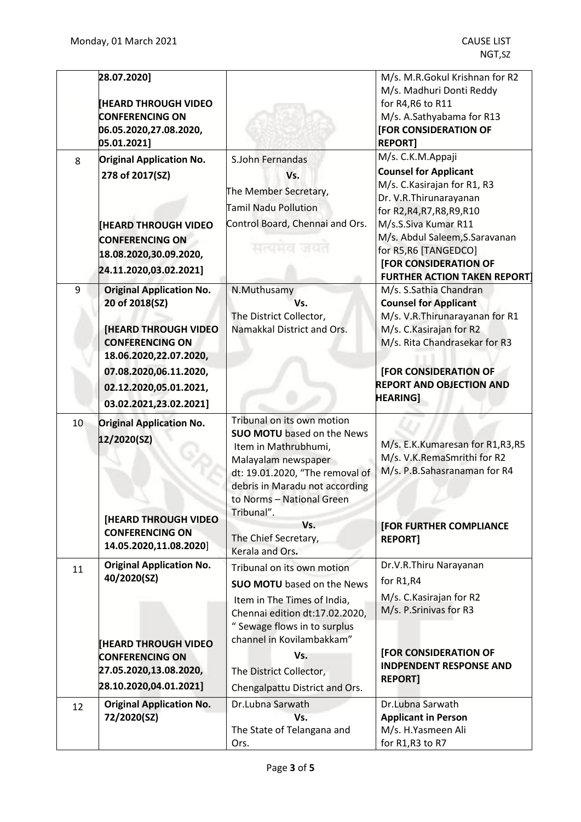|    | 28.07.2020]<br><b>HEARD THROUGH VIDEO</b><br><b>CONFERENCING ON</b><br>06.05.2020,27.08.2020,<br>05.01.2021]                                                                                                       |                                                                                                                                                                                                                                                                                  | M/s. M.R.Gokul Krishnan for R2<br>M/s. Madhuri Donti Reddy<br>for R4, R6 to R11<br>M/s. A.Sathyabama for R13<br>[FOR CONSIDERATION OF<br><b>REPORT1</b>                                                                                                                                       |
|----|--------------------------------------------------------------------------------------------------------------------------------------------------------------------------------------------------------------------|----------------------------------------------------------------------------------------------------------------------------------------------------------------------------------------------------------------------------------------------------------------------------------|-----------------------------------------------------------------------------------------------------------------------------------------------------------------------------------------------------------------------------------------------------------------------------------------------|
| 8  | <b>Original Application No.</b><br>278 of 2017(SZ)<br><b>HEARD THROUGH VIDEO</b><br><b>CONFERENCING ON</b><br>18.08.2020,30.09.2020,<br>24.11.2020,03.02.2021]                                                     | S.John Fernandas<br>Vs.<br>The Member Secretary,<br><b>Tamil Nadu Pollution</b><br>Control Board, Chennai and Ors.<br>मत्यमत                                                                                                                                                     | M/s. C.K.M.Appaji<br><b>Counsel for Applicant</b><br>M/s. C. Kasirajan for R1, R3<br>Dr. V.R.Thirunarayanan<br>for R2, R4, R7, R8, R9, R10<br>M/s.S.Siva Kumar R11<br>M/s. Abdul Saleem, S. Saravanan<br>for R5, R6 [TANGEDCO]<br>[FOR CONSIDERATION OF<br><b>FURTHER ACTION TAKEN REPORT</b> |
| 9  | <b>Original Application No.</b><br>20 of 2018(SZ)<br><b>[HEARD THROUGH VIDEO</b><br><b>CONFERENCING ON</b><br>18.06.2020,22.07.2020,<br>07.08.2020,06.11.2020,<br>02.12.2020,05.01.2021,<br>03.02.2021,23.02.2021] | N.Muthusamy<br>Vs.<br>The District Collector,<br>Namakkal District and Ors.                                                                                                                                                                                                      | M/s. S.Sathia Chandran<br><b>Counsel for Applicant</b><br>M/s. V.R.Thirunarayanan for R1<br>M/s. C. Kasirajan for R2<br>M/s. Rita Chandrasekar for R3<br>[FOR CONSIDERATION OF<br><b>REPORT AND OBJECTION AND</b><br><b>HEARING]</b>                                                          |
| 10 | <b>Original Application No.</b><br>12/2020(SZ)<br>[HEARD THROUGH VIDEO<br><b>CONFERENCING ON</b><br>14.05.2020,11.08.2020]                                                                                         | Tribunal on its own motion<br><b>SUO MOTU</b> based on the News<br>Item in Mathrubhumi,<br>Malayalam newspaper<br>dt: 19.01.2020, "The removal of<br>debris in Maradu not according<br>to Norms - National Green<br>Tribunal".<br>Vs.<br>The Chief Secretary,<br>Kerala and Ors. | M/s. E.K.Kumaresan for R1,R3,R5<br>M/s. V.K.RemaSmrithi for R2<br>M/s. P.B.Sahasranaman for R4<br>[FOR FURTHER COMPLIANCE<br><b>REPORT1</b>                                                                                                                                                   |
| 11 | <b>Original Application No.</b><br>40/2020(SZ)<br><b>[HEARD THROUGH VIDEO</b><br><b>CONFERENCING ON</b><br>27.05.2020,13.08.2020,<br>28.10.2020,04.01.2021]                                                        | Tribunal on its own motion<br><b>SUO MOTU</b> based on the News<br>Item in The Times of India,<br>Chennai edition dt:17.02.2020,<br>" Sewage flows in to surplus<br>channel in Kovilambakkam"<br>Vs.<br>The District Collector,<br>Chengalpattu District and Ors.                | Dr.V.R.Thiru Narayanan<br>for R1,R4<br>M/s. C. Kasirajan for R2<br>M/s. P.Srinivas for R3<br>[FOR CONSIDERATION OF<br><b>INDPENDENT RESPONSE AND</b><br><b>REPORT]</b>                                                                                                                        |
| 12 | <b>Original Application No.</b><br>72/2020(SZ)                                                                                                                                                                     | Dr.Lubna Sarwath<br>Vs.<br>The State of Telangana and<br>Ors.                                                                                                                                                                                                                    | Dr.Lubna Sarwath<br><b>Applicant in Person</b><br>M/s. H.Yasmeen Ali<br>for R1, R3 to R7                                                                                                                                                                                                      |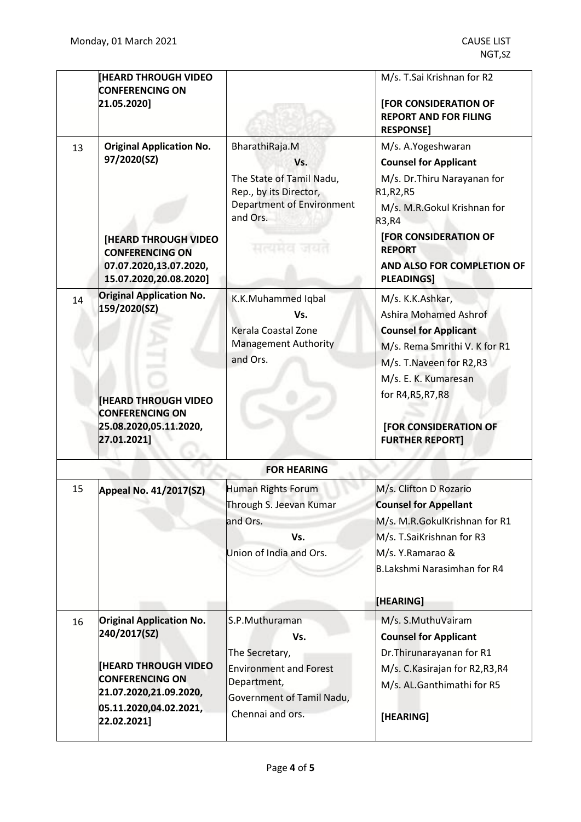|    | <b>HEARD THROUGH VIDEO</b><br><b>CONFERENCING ON</b><br>21.05.2020]                                                                                                         |                                                                                                                                           | M/s. T.Sai Krishnan for R2<br>[FOR CONSIDERATION OF<br><b>REPORT AND FOR FILING</b><br><b>RESPONSE]</b>                                                                                                                                         |
|----|-----------------------------------------------------------------------------------------------------------------------------------------------------------------------------|-------------------------------------------------------------------------------------------------------------------------------------------|-------------------------------------------------------------------------------------------------------------------------------------------------------------------------------------------------------------------------------------------------|
| 13 | <b>Original Application No.</b><br>97/2020(SZ)<br><b>[HEARD THROUGH VIDEO</b><br><b>CONFERENCING ON</b><br>07.07.2020,13.07.2020,<br>15.07.2020,20.08.2020]                 | BharathiRaja.M<br>Vs.<br>The State of Tamil Nadu,<br>Rep., by its Director,<br><b>Department of Environment</b><br>and Ors.<br>सत्यमय जयत | M/s. A.Yogeshwaran<br><b>Counsel for Applicant</b><br>M/s. Dr. Thiru Narayanan for<br>R1, R2, R5<br>M/s. M.R.Gokul Krishnan for<br>R3, R4<br>[FOR CONSIDERATION OF<br><b>REPORT</b><br>AND ALSO FOR COMPLETION OF<br><b>PLEADINGS]</b>          |
| 14 | <b>Original Application No.</b><br>159/2020(SZ)<br><b>HEARD THROUGH VIDEO</b><br><b>CONFERENCING ON</b><br>25.08.2020,05.11.2020,<br>27.01.2021]                            | K.K.Muhammed Iqbal<br>Vs.<br>Kerala Coastal Zone<br><b>Management Authority</b><br>and Ors.                                               | M/s. K.K.Ashkar,<br><b>Ashira Mohamed Ashrof</b><br><b>Counsel for Applicant</b><br>M/s. Rema Smrithi V. K for R1<br>M/s. T. Naveen for R2, R3<br>M/s. E. K. Kumaresan<br>for R4, R5, R7, R8<br>[FOR CONSIDERATION OF<br><b>FURTHER REPORT]</b> |
|    |                                                                                                                                                                             | <b>FOR HEARING</b>                                                                                                                        |                                                                                                                                                                                                                                                 |
| 15 | <b>Appeal No. 41/2017(SZ)</b>                                                                                                                                               | Human Rights Forum<br>Through S. Jeevan Kumar<br>and Ors.<br>Vs.<br>Union of India and Ors.                                               | M/s. Clifton D Rozario<br><b>Counsel for Appellant</b><br>M/s. M.R.GokulKrishnan for R1<br>M/s. T.SaiKrishnan for R3<br>M/s. Y.Ramarao &<br>B.Lakshmi Narasimhan for R4<br>[HEARING]                                                            |
| 16 | <b>Original Application No.</b><br>240/2017(SZ)<br><b>THEARD THROUGH VIDEO</b><br><b>CONFERENCING ON</b><br>21.07.2020,21.09.2020,<br>05.11.2020,04.02.2021,<br>22.02.2021] | S.P.Muthuraman<br>Vs.<br>The Secretary,<br><b>Environment and Forest</b><br>Department,<br>Government of Tamil Nadu,<br>Chennai and ors.  | M/s. S.MuthuVairam<br><b>Counsel for Applicant</b><br>Dr. Thirunarayanan for R1<br>M/s. C. Kasirajan for R2, R3, R4<br>M/s. AL.Ganthimathi for R5<br>[HEARING]                                                                                  |